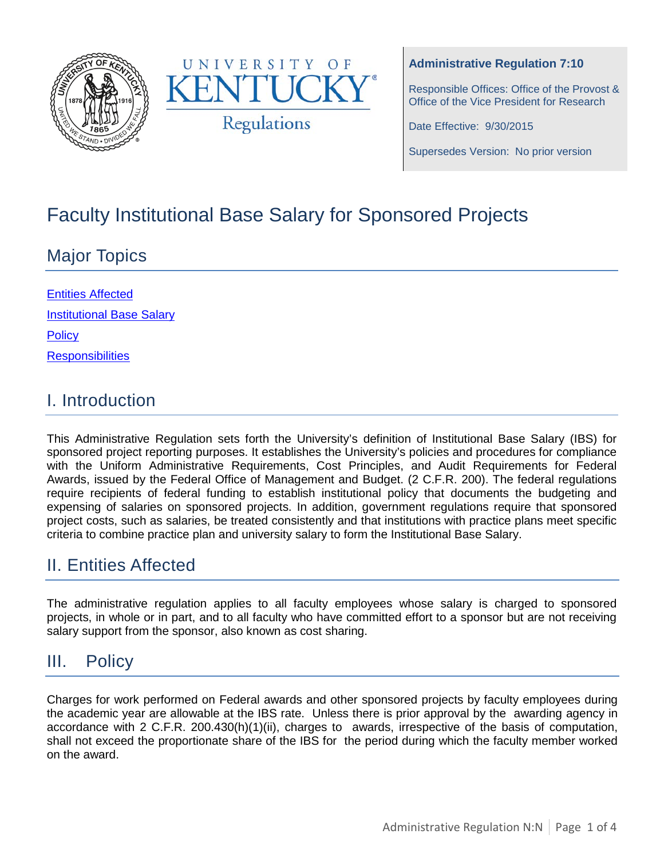



#### **Administrative Regulation 7:10**

Responsible Offices: Office of the Provost & Office of the Vice President for Research

Date Effective: 9/30/2015

Supersedes Version: No prior version

# Faculty Institutional Base Salary for Sponsored Projects

# Major Topics

| <b>Entities Affected</b>         |
|----------------------------------|
| <b>Institutional Base Salary</b> |
| <b>Policy</b>                    |
| <b>Responsibilities</b>          |

## I. Introduction

This Administrative Regulation sets forth the University's definition of Institutional Base Salary (IBS) for sponsored project reporting purposes. It establishes the University's policies and procedures for compliance with the Uniform Administrative Requirements, Cost Principles, and Audit Requirements for Federal Awards, issued by the Federal Office of Management and Budget. (2 C.F.R. 200). The federal regulations require recipients of federal funding to establish institutional policy that documents the budgeting and expensing of salaries on sponsored projects. In addition, government regulations require that sponsored project costs, such as salaries, be treated consistently and that institutions with practice plans meet specific criteria to combine practice plan and university salary to form the Institutional Base Salary.

# <span id="page-0-0"></span>II. Entities Affected

The administrative regulation applies to all faculty employees whose salary is charged to sponsored projects, in whole or in part, and to all faculty who have committed effort to a sponsor but are not receiving salary support from the sponsor, also known as cost sharing.

## <span id="page-0-1"></span>III. Policy

Charges for work performed on Federal awards and other sponsored projects by faculty employees during the academic year are allowable at the IBS rate. Unless there is prior approval by the awarding agency in accordance with 2 C.F.R. 200.430(h)(1)(ii), charges to awards, irrespective of the basis of computation, shall not exceed the proportionate share of the IBS for the period during which the faculty member worked on the award.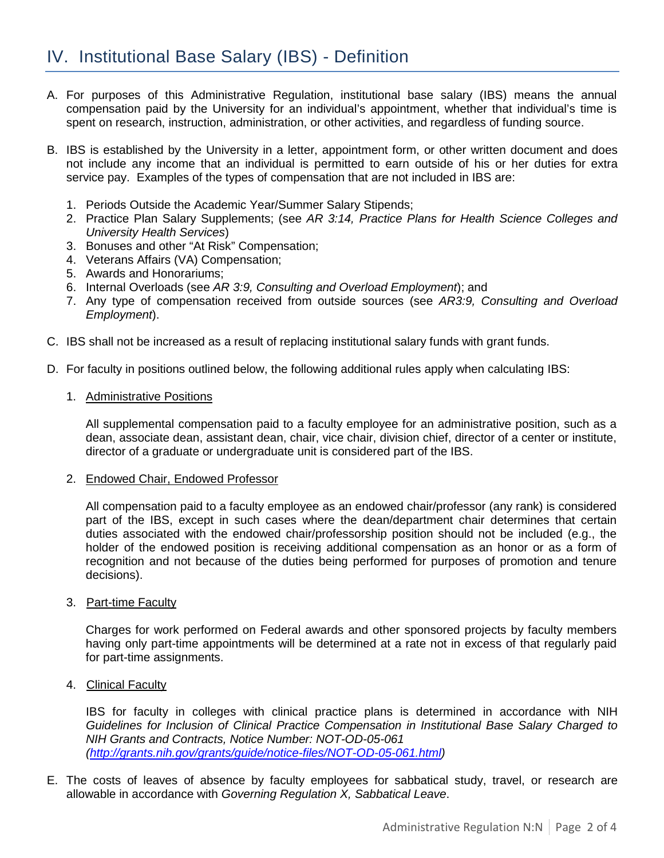- <span id="page-1-0"></span>A. For purposes of this Administrative Regulation, institutional base salary (IBS) means the annual compensation paid by the University for an individual's appointment, whether that individual's time is spent on research, instruction, administration, or other activities, and regardless of funding source.
- B. IBS is established by the University in a letter, appointment form, or other written document and does not include any income that an individual is permitted to earn outside of his or her duties for extra service pay. Examples of the types of compensation that are not included in IBS are:
	- 1. Periods Outside the Academic Year/Summer Salary Stipends;
	- 2. Practice Plan Salary Supplements; (see *AR 3:14, Practice Plans for Health Science Colleges and University Health Services*)
	- 3. Bonuses and other "At Risk" Compensation;
	- 4. Veterans Affairs (VA) Compensation;
	- 5. Awards and Honorariums;
	- 6. Internal Overloads (see *AR 3:9, Consulting and Overload Employment*); and
	- 7. Any type of compensation received from outside sources (see *AR3:9, Consulting and Overload Employment*).
- C. IBS shall not be increased as a result of replacing institutional salary funds with grant funds.
- D. For faculty in positions outlined below, the following additional rules apply when calculating IBS:
	- 1. Administrative Positions

All supplemental compensation paid to a faculty employee for an administrative position, such as a dean, associate dean, assistant dean, chair, vice chair, division chief, director of a center or institute, director of a graduate or undergraduate unit is considered part of the IBS.

2. Endowed Chair, Endowed Professor

All compensation paid to a faculty employee as an endowed chair/professor (any rank) is considered part of the IBS, except in such cases where the dean/department chair determines that certain duties associated with the endowed chair/professorship position should not be included (e.g., the holder of the endowed position is receiving additional compensation as an honor or as a form of recognition and not because of the duties being performed for purposes of promotion and tenure decisions).

3. Part-time Faculty

Charges for work performed on Federal awards and other sponsored projects by faculty members having only part-time appointments will be determined at a rate not in excess of that regularly paid for part-time assignments.

4. Clinical Faculty

IBS for faculty in colleges with clinical practice plans is determined in accordance with NIH *Guidelines for Inclusion of Clinical Practice Compensation in Institutional Base Salary Charged to NIH Grants and Contracts, Notice Number: NOT-OD-05-061 [\(http://grants.nih.gov/grants/guide/notice-files/NOT-OD-05-061.html\)](http://grants.nih.gov/grants/guide/notice-files/NOT-OD-05-061.html)*

E. The costs of leaves of absence by faculty employees for sabbatical study, travel, or research are allowable in accordance with *Governing Regulation X, Sabbatical Leave*.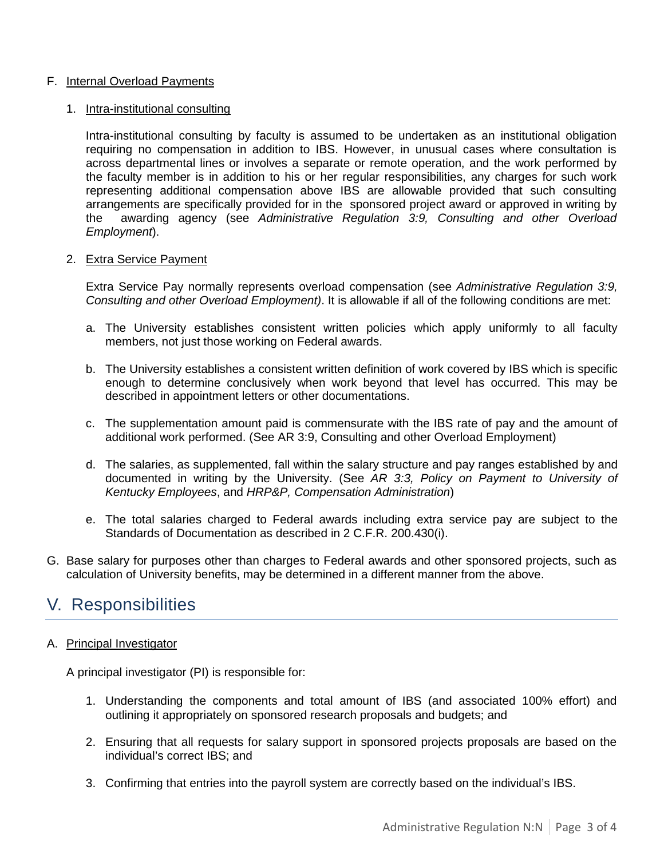#### F. Internal Overload Payments

#### 1. Intra-institutional consulting

Intra-institutional consulting by faculty is assumed to be undertaken as an institutional obligation requiring no compensation in addition to IBS. However, in unusual cases where consultation is across departmental lines or involves a separate or remote operation, and the work performed by the faculty member is in addition to his or her regular responsibilities, any charges for such work representing additional compensation above IBS are allowable provided that such consulting arrangements are specifically provided for in the sponsored project award or approved in writing by the awarding agency (see *Administrative Regulation 3:9, Consulting and other Overload Employment*).

#### 2. Extra Service Payment

Extra Service Pay normally represents overload compensation (see *Administrative Regulation 3:9, Consulting and other Overload Employment)*. It is allowable if all of the following conditions are met:

- a. The University establishes consistent written policies which apply uniformly to all faculty members, not just those working on Federal awards.
- b. The University establishes a consistent written definition of work covered by IBS which is specific enough to determine conclusively when work beyond that level has occurred. This may be described in appointment letters or other documentations.
- c. The supplementation amount paid is commensurate with the IBS rate of pay and the amount of additional work performed. (See AR 3:9, Consulting and other Overload Employment)
- d. The salaries, as supplemented, fall within the salary structure and pay ranges established by and documented in writing by the University. (See *AR 3:3, Policy on Payment to University of Kentucky Employees*, and *HRP&P, Compensation Administration*)
- e. The total salaries charged to Federal awards including extra service pay are subject to the Standards of Documentation as described in 2 C.F.R. 200.430(i).
- G. Base salary for purposes other than charges to Federal awards and other sponsored projects, such as calculation of University benefits, may be determined in a different manner from the above.

### <span id="page-2-0"></span>V. Responsibilities

#### A. Principal Investigator

A principal investigator (PI) is responsible for:

- 1. Understanding the components and total amount of IBS (and associated 100% effort) and outlining it appropriately on sponsored research proposals and budgets; and
- 2. Ensuring that all requests for salary support in sponsored projects proposals are based on the individual's correct IBS; and
- 3. Confirming that entries into the payroll system are correctly based on the individual's IBS.